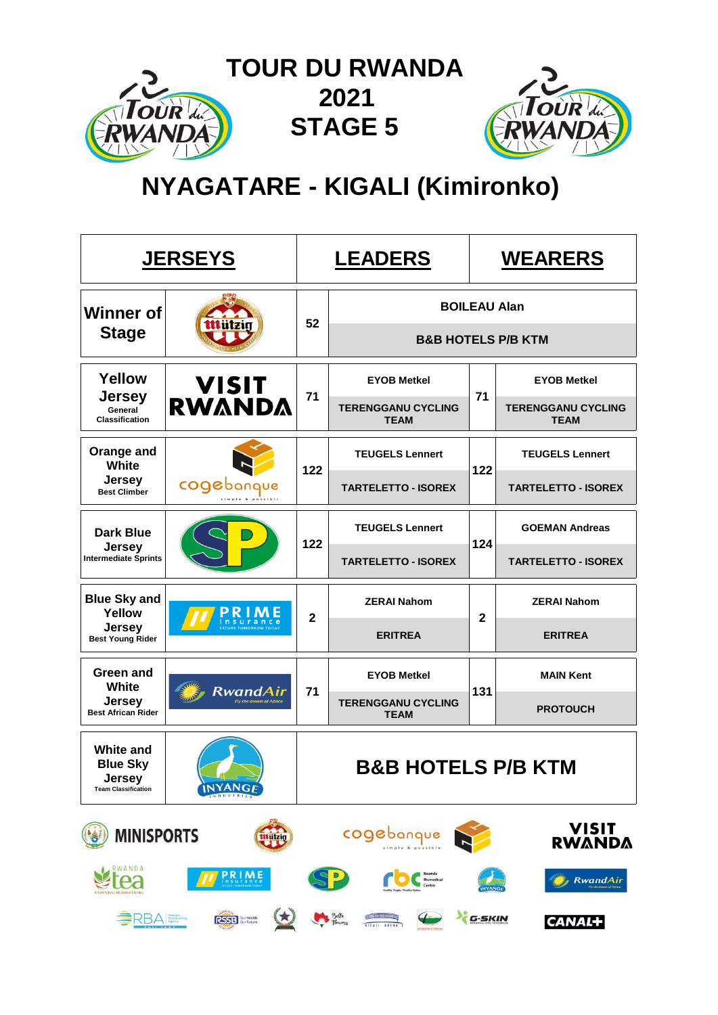

# **NYAGATARE - KIGALI (Kimironko)**

|                                                                             | <u>JERSEYS</u>                            |                | <b>LEADERS</b>                                          | <b>WEARERS</b> |                                          |  |
|-----------------------------------------------------------------------------|-------------------------------------------|----------------|---------------------------------------------------------|----------------|------------------------------------------|--|
| <b>Winner of</b>                                                            |                                           | 52             |                                                         |                | <b>BOILEAU Alan</b>                      |  |
| <b>Stage</b>                                                                | mrai                                      |                |                                                         |                | <b>B&amp;B HOTELS P/B KTM</b>            |  |
| Yellow                                                                      |                                           |                | <b>EYOB Metkel</b>                                      |                | <b>EYOB Metkel</b>                       |  |
| <b>Jersey</b><br>General<br><b>Classification</b>                           | <b>VISIT<br/>RWANDA</b>                   | 71             | <b>TERENGGANU CYCLING</b><br><b>TEAM</b>                | 71             | <b>TERENGGANU CYCLING</b><br><b>TEAM</b> |  |
| Orange and<br>White                                                         |                                           | 122            | <b>TEUGELS Lennert</b>                                  | 122            | <b>TEUGELS Lennert</b>                   |  |
| <b>Jersey</b><br><b>Best Climber</b>                                        | cogebanque                                |                | <b>TARTELETTO - ISOREX</b>                              |                | <b>TARTELETTO - ISOREX</b>               |  |
| <b>Dark Blue</b>                                                            |                                           | 122            | <b>TEUGELS Lennert</b>                                  | 124            | <b>GOEMAN Andreas</b>                    |  |
| <b>Jersey</b><br><b>Intermediate Sprints</b>                                |                                           |                | <b>TARTELETTO - ISOREX</b>                              |                | <b>TARTELETTO - ISOREX</b>               |  |
| <b>Blue Sky and</b><br>Yellow                                               |                                           | $\overline{2}$ | <b>ZERAI Nahom</b>                                      | $\mathbf{2}$   | <b>ZERAI Nahom</b>                       |  |
| <b>Jersey</b><br><b>Best Young Rider</b>                                    |                                           |                | <b>ERITREA</b>                                          |                | <b>ERITREA</b>                           |  |
| <b>Green and</b><br>White                                                   |                                           |                | <b>EYOB Metkel</b>                                      |                | <b>MAIN Kent</b>                         |  |
| <b>Jersey</b><br><b>Best African Rider</b>                                  | RwandAir<br><b>Tv the dream of Africa</b> | 71             | <b>TERENGGANU CYCLING</b><br><b>TEAM</b>                | 131            | <b>PROTOUCH</b>                          |  |
| <b>White and</b><br><b>Blue Sky</b><br>Jersey<br><b>Team Classification</b> | <b>INYANGE</b>                            |                | B&B HOTELS P/B KTM                                      |                |                                          |  |
| <b>MINISPORTS</b>                                                           | <b>Mützig</b>                             |                | cogebanque                                              |                | VISIT<br><b>RWANDA</b>                   |  |
| RWANDA                                                                      | <b>PRIME</b>                              |                |                                                         |                | <b>RwandAir</b>                          |  |
| <b>BRBA</b> Broadcasting                                                    | 1<br><b>RSSB</b> Sur Health               |                | Bella<br>Thurs<br>$\leftarrow$<br><b>September 2012</b> | G-SKIN         | <b>CANAL+</b>                            |  |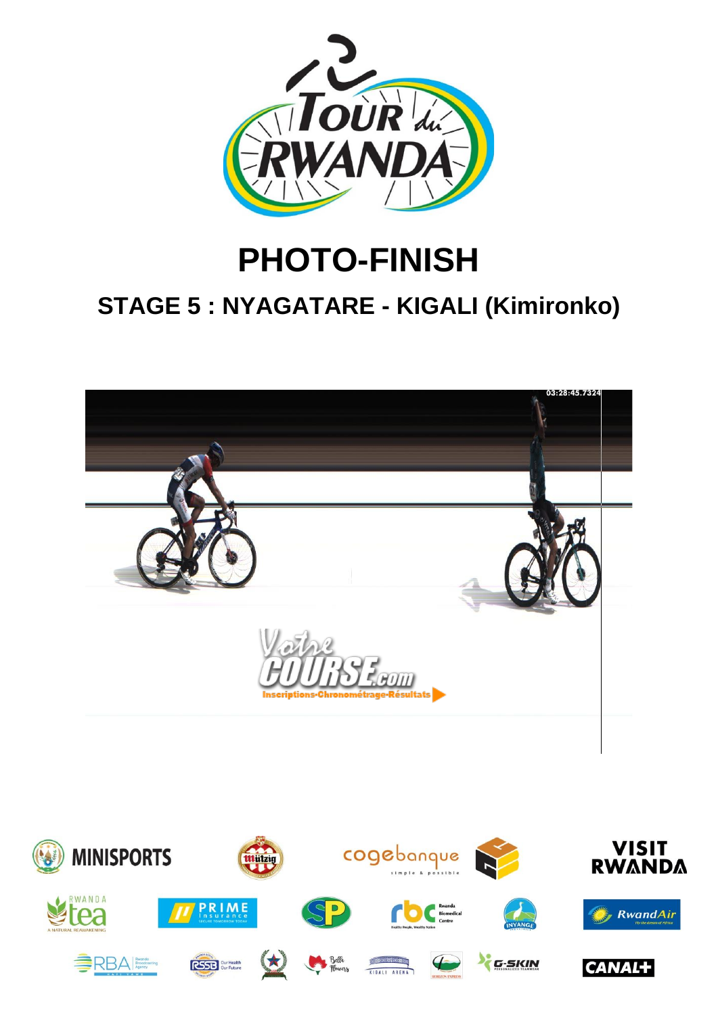

# **PHOTO-FINISH STAGE 5 : NYAGATARE - KIGALI (Kimironko)**



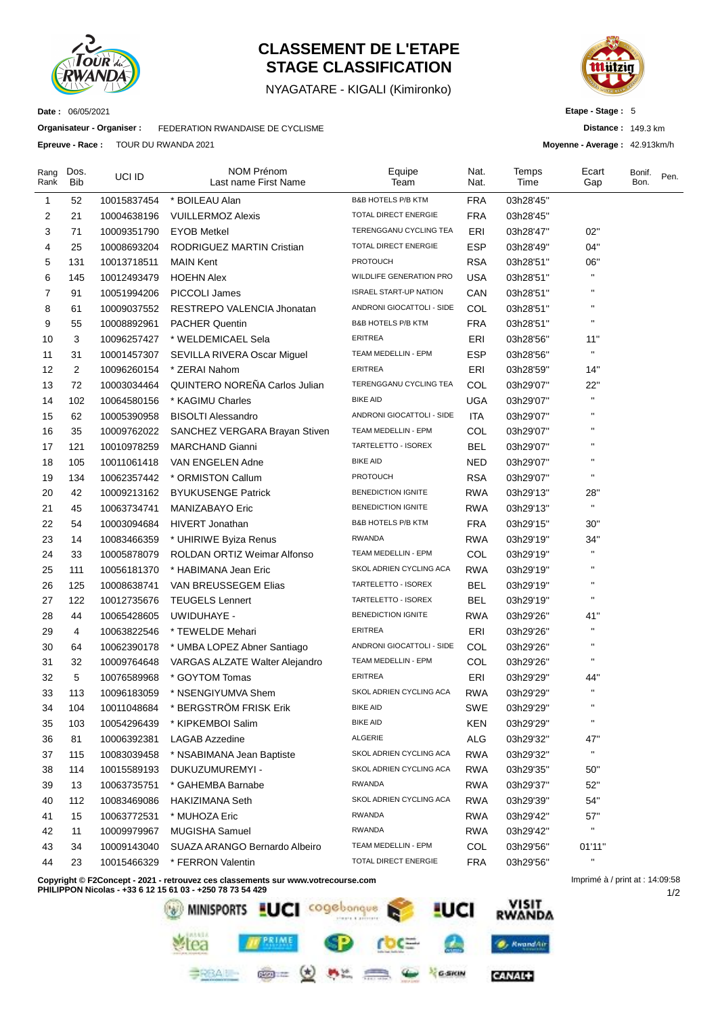

## **CLASSEMENT DE L'ETAPE STAGE CLASSIFICATION**

NYAGATARE - KIGALI (Kimironko)



**Etape - Stage :** 5

**Distance :** 149.3 km

**Moyenne - Average :** 42.913km/h

**Date :** 06/05/2021

**Organisateur - Organiser :** FEDERATION RWANDAISE DE CYCLISME

**Epreuve - Race :** TOUR DU RWANDA 2021

| <b>B&amp;B HOTELS P/B KTM</b><br><b>FRA</b><br>03h28'45"<br>1<br>52<br>10015837454<br>* BOILEAU Alan<br>TOTAL DIRECT ENERGIE<br>2<br><b>VUILLERMOZ Alexis</b><br><b>FRA</b><br>21<br>10004638196<br>03h28'45"<br>3<br>10009351790<br><b>EYOB Metkel</b><br>TERENGGANU CYCLING TEA<br>ERI<br>02"<br>71<br>03h28'47"<br>TOTAL DIRECT ENERGIE<br><b>ESP</b><br>04"<br>4<br>RODRIGUEZ MARTIN Cristian<br>25<br>10008693204<br>03h28'49"<br><b>PROTOUCH</b><br>5<br><b>RSA</b><br>06"<br>131<br>10013718511<br><b>MAIN Kent</b><br>03h28'51"<br>6<br>WILDLIFE GENERATION PRO<br>п<br><b>USA</b><br>145<br>10012493479<br><b>HOEHN Alex</b><br>03h28'51"<br>$\pmb{\mathsf{H}}$<br>7<br>91<br><b>ISRAEL START-UP NATION</b><br>CAN<br>10051994206<br>PICCOLI James<br>03h28'51"<br>п<br>8<br>RESTREPO VALENCIA Jhonatan<br>ANDRONI GIOCATTOLI - SIDE<br>COL<br>61<br>10009037552<br>03h28'51"<br><b>B&amp;B HOTELS P/B KTM</b><br>$\mathbf{H}$<br>9<br>10008892961<br><b>PACHER Quentin</b><br><b>FRA</b><br>55<br>03h28'51" |  |
|-----------------------------------------------------------------------------------------------------------------------------------------------------------------------------------------------------------------------------------------------------------------------------------------------------------------------------------------------------------------------------------------------------------------------------------------------------------------------------------------------------------------------------------------------------------------------------------------------------------------------------------------------------------------------------------------------------------------------------------------------------------------------------------------------------------------------------------------------------------------------------------------------------------------------------------------------------------------------------------------------------------------------|--|
|                                                                                                                                                                                                                                                                                                                                                                                                                                                                                                                                                                                                                                                                                                                                                                                                                                                                                                                                                                                                                       |  |
|                                                                                                                                                                                                                                                                                                                                                                                                                                                                                                                                                                                                                                                                                                                                                                                                                                                                                                                                                                                                                       |  |
|                                                                                                                                                                                                                                                                                                                                                                                                                                                                                                                                                                                                                                                                                                                                                                                                                                                                                                                                                                                                                       |  |
|                                                                                                                                                                                                                                                                                                                                                                                                                                                                                                                                                                                                                                                                                                                                                                                                                                                                                                                                                                                                                       |  |
|                                                                                                                                                                                                                                                                                                                                                                                                                                                                                                                                                                                                                                                                                                                                                                                                                                                                                                                                                                                                                       |  |
|                                                                                                                                                                                                                                                                                                                                                                                                                                                                                                                                                                                                                                                                                                                                                                                                                                                                                                                                                                                                                       |  |
|                                                                                                                                                                                                                                                                                                                                                                                                                                                                                                                                                                                                                                                                                                                                                                                                                                                                                                                                                                                                                       |  |
|                                                                                                                                                                                                                                                                                                                                                                                                                                                                                                                                                                                                                                                                                                                                                                                                                                                                                                                                                                                                                       |  |
|                                                                                                                                                                                                                                                                                                                                                                                                                                                                                                                                                                                                                                                                                                                                                                                                                                                                                                                                                                                                                       |  |
| 11"<br>10<br>3<br>* WELDEMICAEL Sela<br>ERITREA<br>ERI<br>03h28'56"<br>10096257427                                                                                                                                                                                                                                                                                                                                                                                                                                                                                                                                                                                                                                                                                                                                                                                                                                                                                                                                    |  |
| $\blacksquare$<br>11<br>SEVILLA RIVERA Oscar Miguel<br>TEAM MEDELLIN - EPM<br>ESP<br>03h28'56"<br>31<br>10001457307                                                                                                                                                                                                                                                                                                                                                                                                                                                                                                                                                                                                                                                                                                                                                                                                                                                                                                   |  |
| ERITREA<br>ERI<br>12<br>$\overline{c}$<br>* ZERAI Nahom<br>14"<br>10096260154<br>03h28'59"                                                                                                                                                                                                                                                                                                                                                                                                                                                                                                                                                                                                                                                                                                                                                                                                                                                                                                                            |  |
| TERENGGANU CYCLING TEA<br><b>QUINTERO NOREÑA Carlos Julian</b><br>13<br>72<br>COL<br>22"<br>10003034464<br>03h29'07"                                                                                                                                                                                                                                                                                                                                                                                                                                                                                                                                                                                                                                                                                                                                                                                                                                                                                                  |  |
| <b>BIKE AID</b><br>$\blacksquare$<br>14<br>102<br>* KAGIMU Charles<br>UGA<br>10064580156<br>03h29'07"                                                                                                                                                                                                                                                                                                                                                                                                                                                                                                                                                                                                                                                                                                                                                                                                                                                                                                                 |  |
| п<br>ANDRONI GIOCATTOLI - SIDE<br>15<br><b>BISOLTI Alessandro</b><br><b>ITA</b><br>62<br>10005390958<br>03h29'07"                                                                                                                                                                                                                                                                                                                                                                                                                                                                                                                                                                                                                                                                                                                                                                                                                                                                                                     |  |
| 16<br>TEAM MEDELLIN - EPM<br>35<br>COL<br>10009762022<br>SANCHEZ VERGARA Brayan Stiven<br>03h29'07"                                                                                                                                                                                                                                                                                                                                                                                                                                                                                                                                                                                                                                                                                                                                                                                                                                                                                                                   |  |
| TARTELETTO - ISOREX<br><b>BEL</b><br>17<br>121<br>10010978259<br><b>MARCHAND Gianni</b><br>03h29'07"                                                                                                                                                                                                                                                                                                                                                                                                                                                                                                                                                                                                                                                                                                                                                                                                                                                                                                                  |  |
| <b>BIKE AID</b><br>18<br>NED<br>105<br>10011061418<br>VAN ENGELEN Adne<br>03h29'07"                                                                                                                                                                                                                                                                                                                                                                                                                                                                                                                                                                                                                                                                                                                                                                                                                                                                                                                                   |  |
| $\pmb{\mathsf{H}}$<br><b>PROTOUCH</b><br><b>RSA</b><br>19<br>* ORMISTON Callum<br>134<br>10062357442<br>03h29'07"                                                                                                                                                                                                                                                                                                                                                                                                                                                                                                                                                                                                                                                                                                                                                                                                                                                                                                     |  |
| 20<br><b>BYUKUSENGE Patrick</b><br><b>BENEDICTION IGNITE</b><br><b>RWA</b><br>28"<br>42<br>10009213162<br>03h29'13"                                                                                                                                                                                                                                                                                                                                                                                                                                                                                                                                                                                                                                                                                                                                                                                                                                                                                                   |  |
| $\mathbf{H}$<br>21<br>MANIZABAYO Eric<br><b>BENEDICTION IGNITE</b><br><b>RWA</b><br>45<br>10063734741<br>03h29'13"                                                                                                                                                                                                                                                                                                                                                                                                                                                                                                                                                                                                                                                                                                                                                                                                                                                                                                    |  |
| <b>B&amp;B HOTELS P/B KTM</b><br>22<br><b>FRA</b><br>54<br>10003094684<br>HIVERT Jonathan<br>03h29'15"<br>30"                                                                                                                                                                                                                                                                                                                                                                                                                                                                                                                                                                                                                                                                                                                                                                                                                                                                                                         |  |
| 23<br>* UHIRIWE Byiza Renus<br><b>RWANDA</b><br><b>RWA</b><br>34"<br>14<br>10083466359<br>03h29'19"                                                                                                                                                                                                                                                                                                                                                                                                                                                                                                                                                                                                                                                                                                                                                                                                                                                                                                                   |  |
| $\blacksquare$<br>24<br>ROLDAN ORTIZ Weimar Alfonso<br>TEAM MEDELLIN - EPM<br>COL<br>33<br>10005878079<br>03h29'19"                                                                                                                                                                                                                                                                                                                                                                                                                                                                                                                                                                                                                                                                                                                                                                                                                                                                                                   |  |
| SKOL ADRIEN CYCLING ACA<br>25<br>* HABIMANA Jean Eric<br><b>RWA</b><br>111<br>10056181370<br>03h29'19"                                                                                                                                                                                                                                                                                                                                                                                                                                                                                                                                                                                                                                                                                                                                                                                                                                                                                                                |  |
| 26<br>VAN BREUSSEGEM Elias<br>TARTELETTO - ISOREX<br><b>BEL</b><br>125<br>10008638741<br>03h29'19"                                                                                                                                                                                                                                                                                                                                                                                                                                                                                                                                                                                                                                                                                                                                                                                                                                                                                                                    |  |
| TARTELETTO - ISOREX<br><b>BEL</b><br>п<br>27<br>122<br>10012735676<br><b>TEUGELS Lennert</b><br>03h29'19"                                                                                                                                                                                                                                                                                                                                                                                                                                                                                                                                                                                                                                                                                                                                                                                                                                                                                                             |  |
| <b>BENEDICTION IGNITE</b><br>28<br>UWIDUHAYE -<br><b>RWA</b><br>41"<br>44<br>10065428605<br>03h29'26"                                                                                                                                                                                                                                                                                                                                                                                                                                                                                                                                                                                                                                                                                                                                                                                                                                                                                                                 |  |
| <b>ERITREA</b><br>ERI<br>п<br>29<br>4<br>10063822546<br>* TEWELDE Mehari<br>03h29'26"                                                                                                                                                                                                                                                                                                                                                                                                                                                                                                                                                                                                                                                                                                                                                                                                                                                                                                                                 |  |
| $\pmb{\mathsf{H}}$<br>ANDRONI GIOCATTOLI - SIDE<br>30<br>COL<br>64<br>10062390178<br>* UMBA LOPEZ Abner Santiago<br>03h29'26"                                                                                                                                                                                                                                                                                                                                                                                                                                                                                                                                                                                                                                                                                                                                                                                                                                                                                         |  |
| $\blacksquare$<br>TEAM MEDELLIN - EPM<br>31<br>32<br>COL<br>10009764648<br>VARGAS ALZATE Walter Alejandro<br>03h29'26"                                                                                                                                                                                                                                                                                                                                                                                                                                                                                                                                                                                                                                                                                                                                                                                                                                                                                                |  |
| <b>ERITREA</b><br>ERI<br>32<br>5<br>* GOYTOM Tomas<br>44"<br>10076589968<br>03h29'29"                                                                                                                                                                                                                                                                                                                                                                                                                                                                                                                                                                                                                                                                                                                                                                                                                                                                                                                                 |  |
| $\blacksquare$<br>SKOL ADRIEN CYCLING ACA<br>33<br>113<br>* NSENGIYUMVA Shem<br><b>RWA</b><br>10096183059<br>03h29'29"                                                                                                                                                                                                                                                                                                                                                                                                                                                                                                                                                                                                                                                                                                                                                                                                                                                                                                |  |
| <b>BIKE AID</b><br>SWE<br>34<br>104<br>10011048684<br>* BERGSTROM FRISK Erik<br>03h29'29"                                                                                                                                                                                                                                                                                                                                                                                                                                                                                                                                                                                                                                                                                                                                                                                                                                                                                                                             |  |
| $\pmb{\mathsf{H}}$<br><b>BIKE AID</b><br><b>KEN</b><br>35<br>103<br>10054296439<br>* KIPKEMBOI Salim<br>03h29'29"                                                                                                                                                                                                                                                                                                                                                                                                                                                                                                                                                                                                                                                                                                                                                                                                                                                                                                     |  |
| ALGERIE<br>36<br>ALG<br>47"<br>81<br>10006392381<br><b>LAGAB Azzedine</b><br>03h29'32"                                                                                                                                                                                                                                                                                                                                                                                                                                                                                                                                                                                                                                                                                                                                                                                                                                                                                                                                |  |
| $\mathbf{H}$<br>SKOL ADRIEN CYCLING ACA<br>37<br><b>RWA</b><br>115<br>10083039458<br>* NSABIMANA Jean Baptiste<br>03h29'32"                                                                                                                                                                                                                                                                                                                                                                                                                                                                                                                                                                                                                                                                                                                                                                                                                                                                                           |  |
| SKOL ADRIEN CYCLING ACA<br><b>RWA</b><br>38<br>114<br>10015589193<br>DUKUZUMUREMYI -<br>03h29'35"<br>50"                                                                                                                                                                                                                                                                                                                                                                                                                                                                                                                                                                                                                                                                                                                                                                                                                                                                                                              |  |
| <b>RWANDA</b><br>39<br><b>RWA</b><br>52"<br>13<br>10063735751<br>* GAHEMBA Barnabe<br>03h29'37"                                                                                                                                                                                                                                                                                                                                                                                                                                                                                                                                                                                                                                                                                                                                                                                                                                                                                                                       |  |
| SKOL ADRIEN CYCLING ACA<br><b>RWA</b><br>54"<br>40<br>112<br>10083469086<br><b>HAKIZIMANA Seth</b><br>03h29'39"                                                                                                                                                                                                                                                                                                                                                                                                                                                                                                                                                                                                                                                                                                                                                                                                                                                                                                       |  |
| 41<br>* MUHOZA Eric<br><b>RWANDA</b><br><b>RWA</b><br>57"<br>15<br>10063772531<br>03h29'42"                                                                                                                                                                                                                                                                                                                                                                                                                                                                                                                                                                                                                                                                                                                                                                                                                                                                                                                           |  |
| п<br><b>RWANDA</b><br><b>RWA</b><br>42<br>10009979967<br>MUGISHA Samuel<br>03h29'42"<br>11                                                                                                                                                                                                                                                                                                                                                                                                                                                                                                                                                                                                                                                                                                                                                                                                                                                                                                                            |  |
| TEAM MEDELLIN - EPM<br>43<br>COL<br>01'11"<br>34<br>10009143040<br>SUAZA ARANGO Bernardo Albeiro<br>03h29'56"                                                                                                                                                                                                                                                                                                                                                                                                                                                                                                                                                                                                                                                                                                                                                                                                                                                                                                         |  |
| $\mathbf{H}$<br>44<br>TOTAL DIRECT ENERGIE<br><b>FRA</b><br>23<br>10015466329<br>* FERRON Valentin<br>03h29'56"                                                                                                                                                                                                                                                                                                                                                                                                                                                                                                                                                                                                                                                                                                                                                                                                                                                                                                       |  |

**Copyright © F2Concept - 2021 - retrouvez ces classements sur www.votrecourse.com**

**PHILIPPON Nicolas - +33 6 12 15 61 03 - +250 78 73 54 429**



1/2 Imprimé à / print at : 14:09:58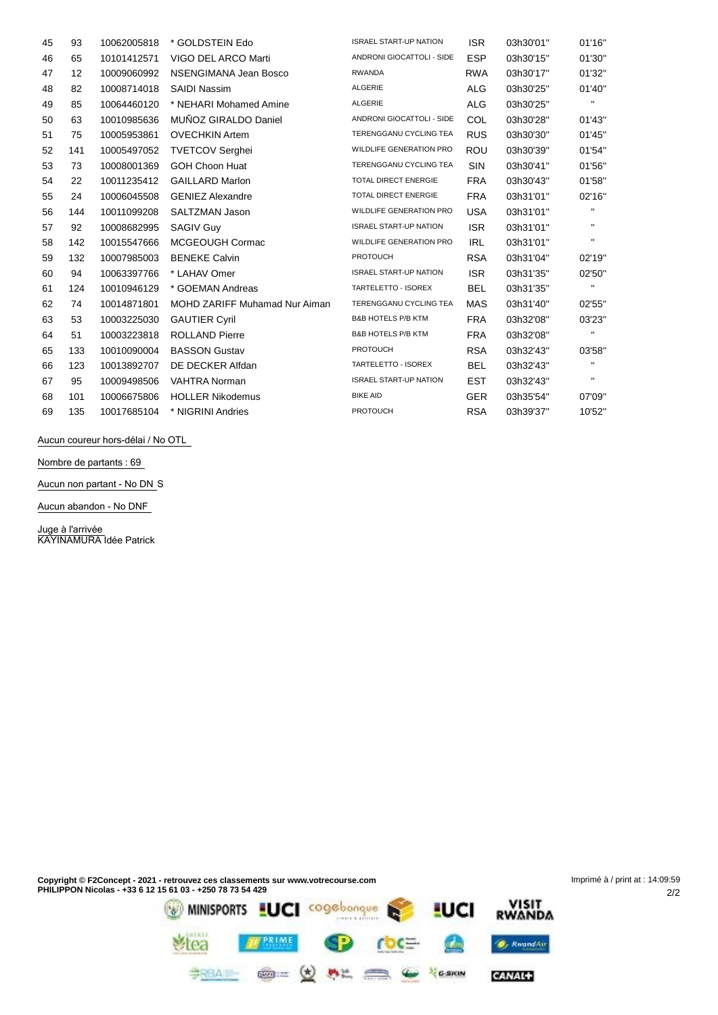| 45 | 93  | 10062005818 | * GOLDSTEIN Edo                      | <b>ISRAEL START-UP NATION</b>  | <b>ISR</b> | 03h30'01" | 01'16"         |
|----|-----|-------------|--------------------------------------|--------------------------------|------------|-----------|----------------|
| 46 | 65  | 10101412571 | VIGO DEL ARCO Marti                  | ANDRONI GIOCATTOLI - SIDE      | <b>ESP</b> | 03h30'15" | 01'30"         |
| 47 | 12  | 10009060992 | NSENGIMANA Jean Bosco                | <b>RWANDA</b>                  | <b>RWA</b> | 03h30'17" | 01'32"         |
| 48 | 82  | 10008714018 | <b>SAIDI Nassim</b>                  | ALGERIE                        | <b>ALG</b> | 03h30'25" | 01'40"         |
| 49 | 85  | 10064460120 | * NEHARI Mohamed Amine               | ALGERIE                        | <b>ALG</b> | 03h30'25" | $\blacksquare$ |
| 50 | 63  | 10010985636 | MUÑOZ GIRALDO Daniel                 | ANDRONI GIOCATTOLI - SIDE      | COL        | 03h30'28" | 01'43"         |
| 51 | 75  | 10005953861 | <b>OVECHKIN Artem</b>                | TERENGGANU CYCLING TEA         | <b>RUS</b> | 03h30'30" | 01'45"         |
| 52 | 141 | 10005497052 | <b>TVETCOV Serghei</b>               | <b>WILDLIFE GENERATION PRO</b> | <b>ROU</b> | 03h30'39" | 01'54"         |
| 53 | 73  | 10008001369 | <b>GOH Choon Huat</b>                | TERENGGANU CYCLING TEA         | SIN        | 03h30'41" | 01'56"         |
| 54 | 22  | 10011235412 | <b>GAILLARD Marlon</b>               | TOTAL DIRECT ENERGIE           | <b>FRA</b> | 03h30'43" | 01'58"         |
| 55 | 24  | 10006045508 | <b>GENIEZ Alexandre</b>              | TOTAL DIRECT ENERGIE           | <b>FRA</b> | 03h31'01" | 02'16"         |
| 56 | 144 | 10011099208 | SALTZMAN Jason                       | <b>WILDLIFE GENERATION PRO</b> | <b>USA</b> | 03h31'01" | н.             |
| 57 | 92  | 10008682995 | <b>SAGIV Guy</b>                     | <b>ISRAEL START-UP NATION</b>  | <b>ISR</b> | 03h31'01" | п.             |
| 58 | 142 | 10015547666 | MCGEOUGH Cormac                      | <b>WILDLIFE GENERATION PRO</b> | <b>IRL</b> | 03h31'01" | п.             |
| 59 | 132 | 10007985003 | <b>BENEKE Calvin</b>                 | <b>PROTOUCH</b>                | <b>RSA</b> | 03h31'04" | 02'19"         |
| 60 | 94  | 10063397766 | * LAHAV Omer                         | <b>ISRAEL START-UP NATION</b>  | <b>ISR</b> | 03h31'35" | 02'50"         |
| 61 | 124 | 10010946129 | * GOEMAN Andreas                     | TARTELETTO - ISOREX            | <b>BEL</b> | 03h31'35" | $\blacksquare$ |
| 62 | 74  | 10014871801 | <b>MOHD ZARIFF Muhamad Nur Aiman</b> | TERENGGANU CYCLING TEA         | <b>MAS</b> | 03h31'40" | 02'55"         |
| 63 | 53  | 10003225030 | <b>GAUTIER Cyril</b>                 | <b>B&amp;B HOTELS P/B KTM</b>  | <b>FRA</b> | 03h32'08" | 03'23"         |
| 64 | 51  | 10003223818 | <b>ROLLAND Pierre</b>                | <b>B&amp;B HOTELS P/B KTM</b>  | <b>FRA</b> | 03h32'08" | н.             |
| 65 | 133 | 10010090004 | <b>BASSON Gustav</b>                 | <b>PROTOUCH</b>                | <b>RSA</b> | 03h32'43" | 03'58"         |
| 66 | 123 | 10013892707 | DE DECKER Alfdan                     | TARTELETTO - ISOREX            | <b>BEL</b> | 03h32'43" | $\blacksquare$ |
| 67 | 95  | 10009498506 | <b>VAHTRA Norman</b>                 | <b>ISRAEL START-UP NATION</b>  | EST        | 03h32'43" | $\mathbf{H}$   |
| 68 | 101 | 10006675806 | <b>HOLLER Nikodemus</b>              | <b>BIKE AID</b>                | <b>GER</b> | 03h35'54" | 07'09"         |
| 69 | 135 | 10017685104 | * NIGRINI Andries                    | <b>PROTOUCH</b>                | <b>RSA</b> | 03h39'37" | 10'52"         |
|    |     |             |                                      |                                |            |           |                |

**Aucun coureur hors-délai / No OTL**

**Nombre de partants : 69**

**Aucun non partant - No DN** S

**Aucun abandon - No DNF**

**Juge à l'arrivée** KAYINAMURA Idée Patrick

Imprimé à / print at : 14:09:59**Copyright © F2Concept - 2021 - retrouvez ces classements sur www.votrecourse.com PHILIPPON Nicolas - +33 6 12 15 61 03 - +250 78 73 54 429** 2/2 VISIT<br>RWANDA MINISPORTS LUCI Cogebongue & LUCI

**MERIME** SP rbc=

 $\begin{picture}(160,170)(-0.000,0.000) \put(0,0){\line(1,0){100}} \put(10,0){\line(1,0){100}} \put(10,0){\line(1,0){100}} \put(10,0){\line(1,0){100}} \put(10,0){\line(1,0){100}} \put(10,0){\line(1,0){100}} \put(10,0){\line(1,0){100}} \put(10,0){\line(1,0){100}} \put(10,0){\line(1,0){100}} \put(10,0){\line(1,0){100}} \put(10$ 

**Mea** 

A

**O**, RwandAir

CANAL+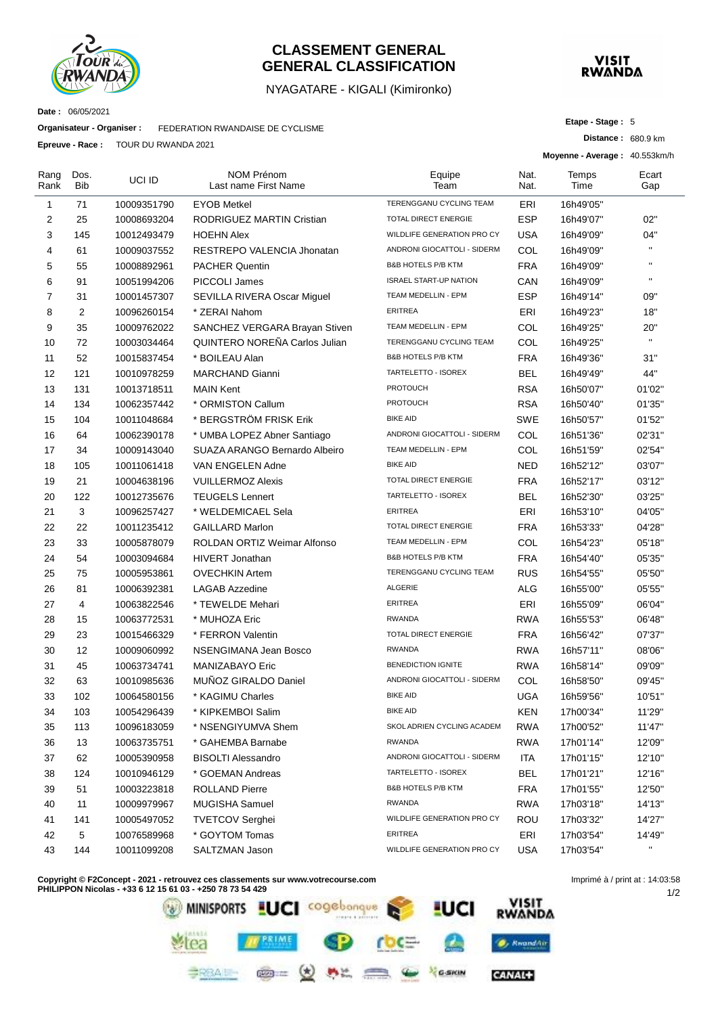

#### **CLASSEMENT GENERAL GENERAL CLASSIFICATION**

#### NYAGATARE - KIGALI (Kimironko)



**Distance :** 680.9 km

**Etape - Stage :** 5

**Moyenne - Average :** 40.553km/h

**Date :** 06/05/2021

Rang Rank

**Organisateur - Organiser :** FEDERATION RWANDAISE DE CYCLISME

**Epreuve - Race :** TOUR DU RWANDA 2021

| ang<br>ank | Dos.<br><b>Bib</b> | UCI ID      | NOM Prénom<br>Last name First Name | Equipe<br>Team                | Nat.<br>Nat. | Temps<br>Time | Ecart<br>Gap |
|------------|--------------------|-------------|------------------------------------|-------------------------------|--------------|---------------|--------------|
| 1          | 71                 | 10009351790 | <b>EYOB Metkel</b>                 | TERENGGANU CYCLING TEAM       | ERI          | 16h49'05"     |              |
| 2          | 25                 | 10008693204 | <b>RODRIGUEZ MARTIN Cristian</b>   | <b>TOTAL DIRECT ENERGIE</b>   | <b>ESP</b>   | 16h49'07"     | 02"          |
| 3          | 145                | 10012493479 | <b>HOEHN Alex</b>                  | WILDLIFE GENERATION PRO CY    | <b>USA</b>   | 16h49'09"     | 04"          |
| 4          | 61                 | 10009037552 | RESTREPO VALENCIA Jhonatan         | ANDRONI GIOCATTOLI - SIDERM   | COL          | 16h49'09"     |              |
| 5          | 55                 | 10008892961 | <b>PACHER Quentin</b>              | B&B HOTELS P/B KTM            | <b>FRA</b>   | 16h49'09"     |              |
| 6          | 91                 | 10051994206 | PICCOLI James                      | <b>ISRAEL START-UP NATION</b> | CAN          | 16h49'09"     | $\mathbf{u}$ |
| 7          | 31                 | 10001457307 | SEVILLA RIVERA Oscar Miguel        | TEAM MEDELLIN - EPM           | <b>ESP</b>   | 16h49'14"     | 09"          |
| 8          | 2                  | 10096260154 | * ZERAI Nahom                      | <b>ERITREA</b>                | ERI          | 16h49'23"     | 18"          |
| 9          | 35                 | 10009762022 | SANCHEZ VERGARA Brayan Stiven      | TEAM MEDELLIN - EPM           | COL          | 16h49'25"     | 20"          |
| 10         | 72                 | 10003034464 | QUINTERO NOREÑA Carlos Julian      | TERENGGANU CYCLING TEAM       | COL          | 16h49'25"     | $\mathbf{H}$ |
| 11         | 52                 | 10015837454 | * BOILEAU Alan                     | B&B HOTELS P/B KTM            | <b>FRA</b>   | 16h49'36"     | 31"          |
| 12         | 121                | 10010978259 | <b>MARCHAND Gianni</b>             | TARTELETTO - ISOREX           | BEL          | 16h49'49"     | 44"          |
| 13         | 131                | 10013718511 | <b>MAIN Kent</b>                   | <b>PROTOUCH</b>               | <b>RSA</b>   | 16h50'07"     | 01'02"       |
| 14         | 134                | 10062357442 | * ORMISTON Callum                  | <b>PROTOUCH</b>               | <b>RSA</b>   | 16h50'40"     | 01'35"       |
| 15         | 104                | 10011048684 | * BERGSTRÖM FRISK Erik             | <b>BIKE AID</b>               | SWE          | 16h50'57"     | 01'52"       |
| 16         | 64                 | 10062390178 | * UMBA LOPEZ Abner Santiago        | ANDRONI GIOCATTOLI - SIDERM   | COL          | 16h51'36"     | 02'31"       |
| 17         | 34                 | 10009143040 | SUAZA ARANGO Bernardo Albeiro      | TEAM MEDELLIN - EPM           | COL          | 16h51'59"     | 02'54"       |
| 18         | 105                | 10011061418 | VAN ENGELEN Adne                   | <b>BIKE AID</b>               | <b>NED</b>   | 16h52'12"     | 03'07"       |
| 19         | 21                 | 10004638196 | <b>VUILLERMOZ Alexis</b>           | TOTAL DIRECT ENERGIE          | <b>FRA</b>   | 16h52'17"     | 03'12"       |
| 20         | 122                | 10012735676 | <b>TEUGELS Lennert</b>             | TARTELETTO - ISOREX           | BEL          | 16h52'30"     | 03'25"       |
| 21         | 3                  | 10096257427 | * WELDEMICAEL Sela                 | <b>ERITREA</b>                | ERI          | 16h53'10"     | 04'05"       |
| 22         | 22                 | 10011235412 | <b>GAILLARD Marlon</b>             | <b>TOTAL DIRECT ENERGIE</b>   | <b>FRA</b>   | 16h53'33"     | 04'28"       |
| 23         | 33                 | 10005878079 | ROLDAN ORTIZ Weimar Alfonso        | TEAM MEDELLIN - EPM           | COL          | 16h54'23"     | 05'18"       |
| 24         | 54                 | 10003094684 | <b>HIVERT Jonathan</b>             | B&B HOTELS P/B KTM            | <b>FRA</b>   | 16h54'40"     | 05'35"       |
| 25         | 75                 | 10005953861 | <b>OVECHKIN Artem</b>              | TERENGGANU CYCLING TEAM       | <b>RUS</b>   | 16h54'55"     | 05'50"       |
| 26         | 81                 | 10006392381 | <b>LAGAB Azzedine</b>              | ALGERIE                       | ALG          | 16h55'00"     | 05'55"       |
| 27         | 4                  | 10063822546 | * TEWELDE Mehari                   | <b>ERITREA</b>                | ERI          | 16h55'09"     | 06'04"       |
| 28         | 15                 | 10063772531 | * MUHOZA Eric                      | <b>RWANDA</b>                 | <b>RWA</b>   | 16h55'53"     | 06'48"       |
| 29         | 23                 | 10015466329 | * FERRON Valentin                  | TOTAL DIRECT ENERGIE          | <b>FRA</b>   | 16h56'42"     | 07'37"       |
| 30         | 12                 | 10009060992 | NSENGIMANA Jean Bosco              | <b>RWANDA</b>                 | <b>RWA</b>   | 16h57'11"     | 08'06"       |
| 31         | 45                 | 10063734741 | MANIZABAYO Eric                    | <b>BENEDICTION IGNITE</b>     | <b>RWA</b>   | 16h58'14"     | 09'09"       |
| 32         | 63                 | 10010985636 | MUÑOZ GIRALDO Daniel               | ANDRONI GIOCATTOLI - SIDERM   | COL          | 16h58'50"     | 09'45"       |
| 33         | 102                | 10064580156 | * KAGIMU Charles                   | <b>BIKE AID</b>               | <b>UGA</b>   | 16h59'56"     | 10'51"       |
| 34         | 103                | 10054296439 | * KIPKEMBOI Salim                  | <b>BIKE AID</b>               | <b>KEN</b>   | 17h00'34"     | 11'29"       |
| 35         | 113                | 10096183059 | * NSENGIYUMVA Shem                 | SKOL ADRIEN CYCLING ACADEM    | <b>RWA</b>   | 17h00'52"     | 11'47"       |
| 36         | 13                 | 10063735751 | * GAHEMBA Barnabe                  | <b>RWANDA</b>                 | <b>RWA</b>   | 17h01'14"     | 12'09"       |
| 37         | 62                 | 10005390958 | <b>BISOLTI Alessandro</b>          | ANDRONI GIOCATTOLI - SIDERM   | ITA          | 17h01'15"     | 12'10"       |
| 38         | 124                | 10010946129 | * GOEMAN Andreas                   | TARTELETTO - ISOREX           | <b>BEL</b>   | 17h01'21"     | 12'16"       |
| 39         | 51                 | 10003223818 | <b>ROLLAND Pierre</b>              | B&B HOTELS P/B KTM            | <b>FRA</b>   | 17h01'55"     | 12'50"       |
| 40         | 11                 | 10009979967 | MUGISHA Samuel                     | <b>RWANDA</b>                 | <b>RWA</b>   | 17h03'18"     | 14'13"       |
| 41         | 141                | 10005497052 | <b>TVETCOV Serghei</b>             | WILDLIFE GENERATION PRO CY    | <b>ROU</b>   | 17h03'32"     | 14'27"       |
| 42         | 5                  | 10076589968 | * GOYTOM Tomas                     | <b>ERITREA</b>                | ERI          | 17h03'54"     | 14'49"       |
| 43         | 144                | 10011099208 | SALTZMAN Jason                     | WILDLIFE GENERATION PRO CY    | <b>USA</b>   | 17h03'54"     | $\mathbf{H}$ |
|            |                    |             |                                    |                               |              |               |              |

**Copyright © F2Concept - 2021 - retrouvez ces classements sur www.votrecourse.com**

**PHILIPPON Nicolas - +33 6 12 15 61 03 - +250 78 73 54 429** VISIT<br>RWANDA **LUCI** cogebonque **MINISPORTS** <u>i</u>uci **TPRIME** O. KwandAir GARIN  $\mathbf{C}$ **CANAL+** 

1/2 Imprimé à / print at : 14:03:58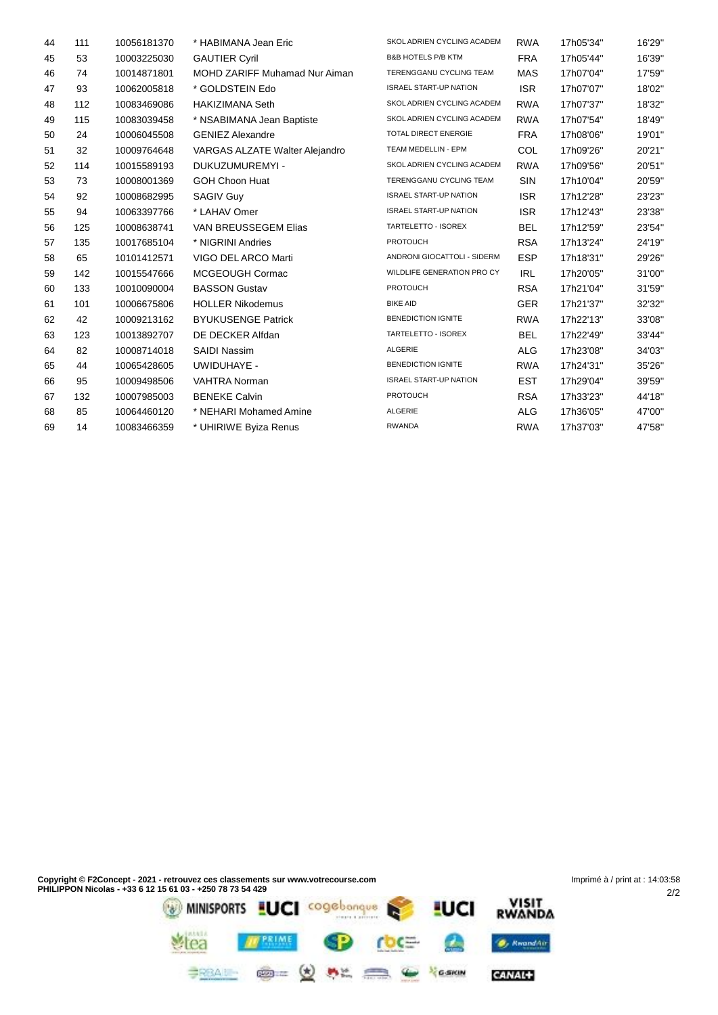| 44 | 111 | 10056181370 | * HABIMANA Jean Eric                 | SKOL ADRIEN CYCLING ACADEM    | <b>RWA</b> | 17h05'34" | 16'29" |
|----|-----|-------------|--------------------------------------|-------------------------------|------------|-----------|--------|
| 45 | 53  | 10003225030 | <b>GAUTIER Cyril</b>                 | <b>B&amp;B HOTELS P/B KTM</b> | <b>FRA</b> | 17h05'44" | 16'39" |
| 46 | 74  | 10014871801 | <b>MOHD ZARIFF Muhamad Nur Aiman</b> | TERENGGANU CYCLING TEAM       | <b>MAS</b> | 17h07'04" | 17'59" |
| 47 | 93  | 10062005818 | * GOLDSTEIN Edo                      | <b>ISRAEL START-UP NATION</b> | <b>ISR</b> | 17h07'07" | 18'02" |
| 48 | 112 | 10083469086 | <b>HAKIZIMANA Seth</b>               | SKOL ADRIEN CYCLING ACADEM    | <b>RWA</b> | 17h07'37" | 18'32" |
| 49 | 115 | 10083039458 | * NSABIMANA Jean Baptiste            | SKOL ADRIEN CYCLING ACADEM    | <b>RWA</b> | 17h07'54" | 18'49" |
| 50 | 24  | 10006045508 | <b>GENIEZ Alexandre</b>              | TOTAL DIRECT ENERGIE          | <b>FRA</b> | 17h08'06" | 19'01" |
| 51 | 32  | 10009764648 | VARGAS ALZATE Walter Alejandro       | TEAM MEDELLIN - EPM           | COL        | 17h09'26" | 20'21" |
| 52 | 114 | 10015589193 | DUKUZUMUREMYI -                      | SKOL ADRIEN CYCLING ACADEM    | <b>RWA</b> | 17h09'56" | 20'51" |
| 53 | 73  | 10008001369 | <b>GOH Choon Huat</b>                | TERENGGANU CYCLING TEAM       | <b>SIN</b> | 17h10'04" | 20'59" |
| 54 | 92  | 10008682995 | <b>SAGIV Guy</b>                     | <b>ISRAEL START-UP NATION</b> | <b>ISR</b> | 17h12'28" | 23'23" |
| 55 | 94  | 10063397766 | * LAHAV Omer                         | <b>ISRAEL START-UP NATION</b> | <b>ISR</b> | 17h12'43" | 23'38" |
| 56 | 125 | 10008638741 | VAN BREUSSEGEM Elias                 | TARTELETTO - ISOREX           | <b>BEL</b> | 17h12'59" | 23'54" |
| 57 | 135 | 10017685104 | * NIGRINI Andries                    | <b>PROTOUCH</b>               | <b>RSA</b> | 17h13'24" | 24'19" |
| 58 | 65  | 10101412571 | VIGO DEL ARCO Marti                  | ANDRONI GIOCATTOLI - SIDERM   | <b>ESP</b> | 17h18'31" | 29'26" |
| 59 | 142 | 10015547666 | MCGEOUGH Cormac                      | WILDLIFE GENERATION PRO CY    | <b>IRL</b> | 17h20'05" | 31'00" |
| 60 | 133 | 10010090004 | <b>BASSON Gustav</b>                 | <b>PROTOUCH</b>               | <b>RSA</b> | 17h21'04" | 31'59" |
| 61 | 101 | 10006675806 | <b>HOLLER Nikodemus</b>              | <b>BIKE AID</b>               | <b>GER</b> | 17h21'37" | 32'32" |
| 62 | 42  | 10009213162 | <b>BYUKUSENGE Patrick</b>            | BENEDICTION IGNITE            | <b>RWA</b> | 17h22'13" | 33'08" |
| 63 | 123 | 10013892707 | DE DECKER Alfdan                     | TARTELETTO - ISOREX           | <b>BEL</b> | 17h22'49" | 33'44" |
| 64 | 82  | 10008714018 | <b>SAIDI Nassim</b>                  | ALGERIE                       | <b>ALG</b> | 17h23'08" | 34'03" |
| 65 | 44  | 10065428605 | UWIDUHAYE -                          | <b>BENEDICTION IGNITE</b>     | <b>RWA</b> | 17h24'31" | 35'26" |
| 66 | 95  | 10009498506 | <b>VAHTRA Norman</b>                 | <b>ISRAEL START-UP NATION</b> | <b>EST</b> | 17h29'04" | 39'59" |
| 67 | 132 | 10007985003 | <b>BENEKE Calvin</b>                 | <b>PROTOUCH</b>               | <b>RSA</b> | 17h33'23" | 44'18" |
| 68 | 85  | 10064460120 | * NEHARI Mohamed Amine               | ALGERIE                       | <b>ALG</b> | 17h36'05" | 47'00" |
| 69 | 14  | 10083466359 | * UHIRIWE Byiza Renus                | <b>RWANDA</b>                 | <b>RWA</b> | 17h37'03" | 47'58" |
|    |     |             |                                      |                               |            |           |        |

Imprimé à / print at : 14:03:58**Copyright © F2Concept - 2021 - retrouvez ces classements sur www.votrecourse.com PHILIPPON Nicolas - +33 6 12 15 61 03 - +250 78 73 54 429** 2/2 Stea **Frame** SP roce  $\bullet$  $\bullet$  KwandAir

CANAL+

**BRAIN @= (d) AL CO & Yearn**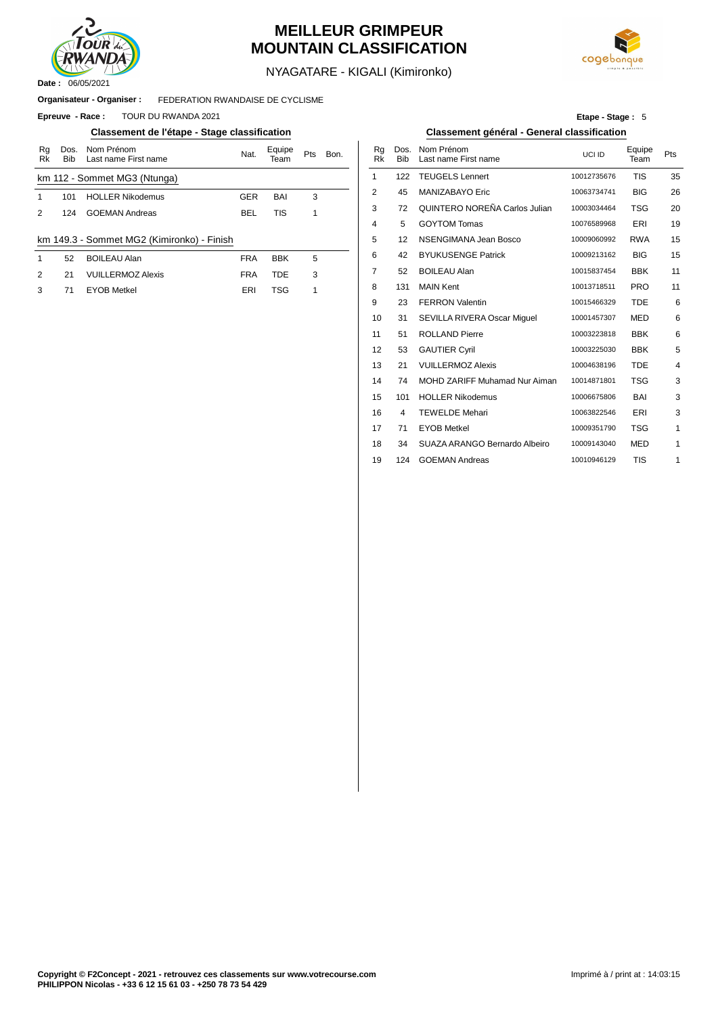

## **MEILLEUR GRIMPEUR MOUNTAIN CLASSIFICATION**



NYAGATARE - KIGALI (Kimironko)

#### FEDERATION RWANDAISE DE CYCLISME **Organisateur - Organiser :**

**Epreuve - Race : TOUR DU RWANDA 2021** 

#### **Classement de l'étape - Stage classification Classement général - General classification**

| Rg<br>Rk | Dos.<br><b>Bib</b> | Nom Prénom<br>Last name First name         | Nat.       | Equipe<br>eam | Pts | Bon. | Rg<br>Rk       | Dos<br><b>Bib</b> |
|----------|--------------------|--------------------------------------------|------------|---------------|-----|------|----------------|-------------------|
|          |                    | km 112 - Sommet MG3 (Ntunga)               |            |               |     |      |                | 122               |
|          | 101                | <b>HOLLER Nikodemus</b>                    | <b>GER</b> | BAI           | 3   |      | $\overline{2}$ | 45                |
| 2        | 124                | <b>GOEMAN Andreas</b>                      | BEL        | TIS           |     |      | 3              | 72                |
|          |                    |                                            |            |               |     |      | 4              | 5                 |
|          |                    | km 149.3 - Sommet MG2 (Kimironko) - Finish |            |               |     |      | 5              | 12                |
|          |                    |                                            |            |               |     |      |                |                   |

| 52 | <b>BOILEAU Alan</b>      | <b>FRA</b> | <b>BBK</b> | 5  |     | 42 BYUKUSENGI    |
|----|--------------------------|------------|------------|----|-----|------------------|
| 21 | <b>VUILLERMOZ Alexis</b> | <b>FRA</b> | TDF        | -3 |     | 52 BOILEAU Alan  |
| 71 | EYOB Metkel              | ERI        | TSG        |    | 131 | <b>MAIN Kent</b> |

**Etape - Stage :** 5

| Nom Prénom<br>Last name First name | Nat.       | Equipe<br>Team | Pts | Bon. | Rq<br><b>Rk</b> | Dos.<br><b>Bib</b> | Nom Prénom<br>Last name First name   | UCI ID      | Equipe<br>Team | Pts |
|------------------------------------|------------|----------------|-----|------|-----------------|--------------------|--------------------------------------|-------------|----------------|-----|
| ommet MG3 (Ntunga)                 |            |                |     |      | 1               | 122                | <b>TEUGELS Lennert</b>               | 10012735676 | <b>TIS</b>     | 35  |
| <b>HOLLER Nikodemus</b>            | <b>GER</b> | BAI            | 3   |      | 2               | 45                 | MANIZABAYO Eric                      | 10063734741 | <b>BIG</b>     | 26  |
| <b>GOEMAN Andreas</b>              | <b>BEL</b> | <b>TIS</b>     | 1   |      | 3               | 72                 | QUINTERO NOREÑA Carlos Julian        | 10003034464 | <b>TSG</b>     | 20  |
|                                    |            |                |     |      | 4               | 5                  | <b>GOYTOM Tomas</b>                  | 10076589968 | ERI            | 19  |
| Sommet MG2 (Kimironko) - Finish    |            |                |     |      | 5               | 12                 | NSENGIMANA Jean Bosco                | 10009060992 | <b>RWA</b>     | 15  |
| <b>BOILEAU Alan</b>                | <b>FRA</b> | <b>BBK</b>     | 5   |      | 6               | 42                 | <b>BYUKUSENGE Patrick</b>            | 10009213162 | <b>BIG</b>     | 15  |
| <b>VUILLERMOZ Alexis</b>           | <b>FRA</b> | <b>TDE</b>     | 3   |      | 7               | 52                 | <b>BOILEAU Alan</b>                  | 10015837454 | <b>BBK</b>     | 11  |
| <b>EYOB Metkel</b>                 | ERI        | <b>TSG</b>     | 1   |      | 8               | 131                | <b>MAIN Kent</b>                     | 10013718511 | <b>PRO</b>     | 11  |
|                                    |            |                |     |      | 9               | 23                 | <b>FERRON Valentin</b>               | 10015466329 | <b>TDE</b>     | 6   |
|                                    |            |                |     |      | 10              | 31                 | SEVILLA RIVERA Oscar Miquel          | 10001457307 | MED            | 6   |
|                                    |            |                |     |      | 11              | 51                 | <b>ROLLAND Pierre</b>                | 10003223818 | <b>BBK</b>     | 6   |
|                                    |            |                |     |      | 12              | 53                 | <b>GAUTIER Cyril</b>                 | 10003225030 | <b>BBK</b>     | 5   |
|                                    |            |                |     |      | 13              | 21                 | <b>VUILLERMOZ Alexis</b>             | 10004638196 | <b>TDE</b>     | 4   |
|                                    |            |                |     |      | 14              | 74                 | <b>MOHD ZARIFF Muhamad Nur Aiman</b> | 10014871801 | <b>TSG</b>     | 3   |
|                                    |            |                |     |      | 15              | 101                | <b>HOLLER Nikodemus</b>              | 10006675806 | BAI            | 3   |
|                                    |            |                |     |      | 16              | 4                  | <b>TEWELDE Mehari</b>                | 10063822546 | ERI            | 3   |
|                                    |            |                |     |      | 17              | 71                 | <b>EYOB Metkel</b>                   | 10009351790 | <b>TSG</b>     | 1   |
|                                    |            |                |     |      | 18              | 34                 | SUAZA ARANGO Bernardo Albeiro        | 10009143040 | <b>MED</b>     | 1   |
|                                    |            |                |     |      | 19              | 124                | <b>GOEMAN Andreas</b>                | 10010946129 | <b>TIS</b>     | 1   |
|                                    |            |                |     |      |                 |                    |                                      |             |                |     |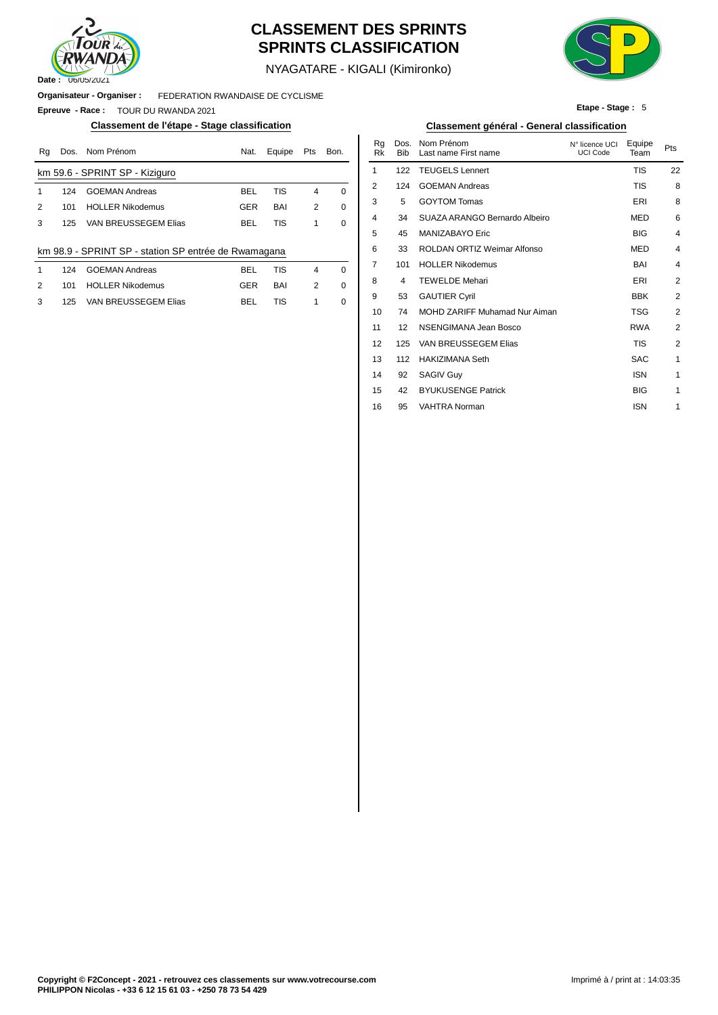

### **CLASSEMENT DES SPRINTS SPRINTS CLASSIFICATION**



**Etape - Stage :** 5

NYAGATARE - KIGALI (Kimironko)

#### **Organisateur - Organiser :** FEDERATION RWANDAISE DE CYCLISME

**Epreuve - Race :** TOUR DU RWANDA 2021

#### **Classement de l'étape - Stage classification Classement général - General classification**

| Rq | Dos. | Nom Prénom                                           | Nat.       | Equipe     | Pts            | Bon.        | Ra<br>Rk | Dos.<br><b>Bib</b> | Nom Prénom<br>Last name First name | N° licence UCI<br><b>UCI Code</b> | Equipe<br>Team | Pts |
|----|------|------------------------------------------------------|------------|------------|----------------|-------------|----------|--------------------|------------------------------------|-----------------------------------|----------------|-----|
|    |      | km 59.6 - SPRINT SP - Kiziguro                       |            |            |                |             |          | 122                | <b>TEUGELS Lennert</b>             |                                   | TIS            | 22  |
|    | 124  | <b>GOEMAN Andreas</b>                                | <b>BEL</b> | <b>TIS</b> | 4              | $\Omega$    | 2        | 124                | <b>GOEMAN Andreas</b>              |                                   | <b>TIS</b>     | ε   |
| 2  | 101  | <b>HOLLER Nikodemus</b>                              | <b>GER</b> | BAI        | $\overline{2}$ | $\mathbf 0$ | 3        | 5                  | <b>GOYTOM Tomas</b>                |                                   | ERI            | ε   |
| 3  | 125  | VAN BREUSSEGEM Elias                                 | <b>BEL</b> | <b>TIS</b> |                | 0           | 4        | 34                 | SUAZA ARANGO Bernardo Albeiro      |                                   | <b>MED</b>     | 6   |
|    |      |                                                      |            |            |                |             | 5        | 45                 | MANIZABAYO Eric                    |                                   | <b>BIG</b>     |     |
|    |      | km 98.9 - SPRINT SP - station SP entrée de Rwamagana |            |            |                |             | 6        | 33                 | ROLDAN ORTIZ Weimar Alfonso        |                                   | <b>MED</b>     |     |
|    | 124  | <b>GOEMAN Andreas</b>                                | <b>BEL</b> | <b>TIS</b> | $\overline{4}$ | $\Omega$    |          | 101                | <b>HOLLER Nikodemus</b>            |                                   | <b>BAI</b>     |     |
| 2  | 101  | <b>HOLLER Nikodemus</b>                              | <b>GER</b> | BAI        | $\overline{2}$ | 0           | 8        | 4                  | <b>TEWELDE Mehari</b>              |                                   | ERI            | 2   |
| 3  | 125  | VAN BREUSSEGEM Elias                                 | <b>BEL</b> | <b>TIS</b> |                | 0           | 9        | 53                 | <b>GAUTIER Cyril</b>               |                                   | <b>BBK</b>     | 2   |
|    |      |                                                      |            |            |                |             | 10       | 74                 | MOHD ZARIFF Muhamad Nur Aiman      |                                   | TSG            |     |
|    |      |                                                      |            |            |                |             |          |                    |                                    |                                   |                |     |

| Nom Prénom                                | Nat.       | Equipe     | Pts            | Bon.     | Rq<br><b>Rk</b> | Dos.<br><b>Bib</b> | Nom Prénom<br>Last name First name | N° licence UCI<br><b>UCI Code</b> | Equipe<br>Team | Pts            |
|-------------------------------------------|------------|------------|----------------|----------|-----------------|--------------------|------------------------------------|-----------------------------------|----------------|----------------|
| PRINT SP - Kiziguro                       |            |            |                |          | 1               | 122                | <b>TEUGELS Lennert</b>             |                                   | <b>TIS</b>     | 22             |
| <b>GOEMAN Andreas</b>                     | <b>BEL</b> | <b>TIS</b> | 4              | $\Omega$ | 2               | 124                | <b>GOEMAN Andreas</b>              |                                   | <b>TIS</b>     | 8              |
| <b>HOLLER Nikodemus</b>                   | <b>GER</b> | BAI        | 2              | 0        | 3               | 5                  | <b>GOYTOM Tomas</b>                |                                   | ERI            | 8              |
| VAN BREUSSEGEM Elias                      | <b>BEL</b> | <b>TIS</b> | 1              | 0        | 4               | 34                 | SUAZA ARANGO Bernardo Albeiro      |                                   | <b>MED</b>     | 6              |
|                                           |            |            |                |          | 5               | 45                 | MANIZABAYO Eric                    |                                   | <b>BIG</b>     | 4              |
| PRINT SP - station SP entrée de Rwamagana |            |            |                |          | 6               | 33                 | ROLDAN ORTIZ Weimar Alfonso        |                                   | <b>MED</b>     | 4              |
| <b>GOEMAN Andreas</b>                     | <b>BEL</b> | <b>TIS</b> | $\overline{4}$ | 0        | 7               | 101                | <b>HOLLER Nikodemus</b>            |                                   | <b>BAI</b>     | 4              |
| <b>HOLLER Nikodemus</b>                   | <b>GER</b> | BAI        | 2              | 0        | 8               | 4                  | <b>TEWELDE Mehari</b>              |                                   | ERI            | 2              |
| VAN BREUSSEGEM Elias                      | <b>BEL</b> | <b>TIS</b> | 1              | 0        | 9               | 53                 | <b>GAUTIER Cyril</b>               |                                   | <b>BBK</b>     | 2              |
|                                           |            |            |                |          | 10              | 74                 | MOHD ZARIFF Muhamad Nur Aiman      |                                   | <b>TSG</b>     | $\overline{2}$ |
|                                           |            |            |                |          | 11              | 12                 | NSENGIMANA Jean Bosco              |                                   | <b>RWA</b>     | $\overline{2}$ |
|                                           |            |            |                |          | 12              | 125                | VAN BREUSSEGEM Elias               |                                   | <b>TIS</b>     | $\overline{2}$ |
|                                           |            |            |                |          | 13              | 112                | <b>HAKIZIMANA Seth</b>             |                                   | <b>SAC</b>     | $\mathbf{1}$   |
|                                           |            |            |                |          | 14              | 92                 | <b>SAGIV Guy</b>                   |                                   | <b>ISN</b>     | $\mathbf{1}$   |
|                                           |            |            |                |          | 15              | 42                 | <b>BYUKUSENGE Patrick</b>          |                                   | <b>BIG</b>     | $\mathbf{1}$   |
|                                           |            |            |                |          | 16              | 95                 | <b>VAHTRA Norman</b>               |                                   | <b>ISN</b>     | 1              |
|                                           |            |            |                |          |                 |                    |                                    |                                   |                |                |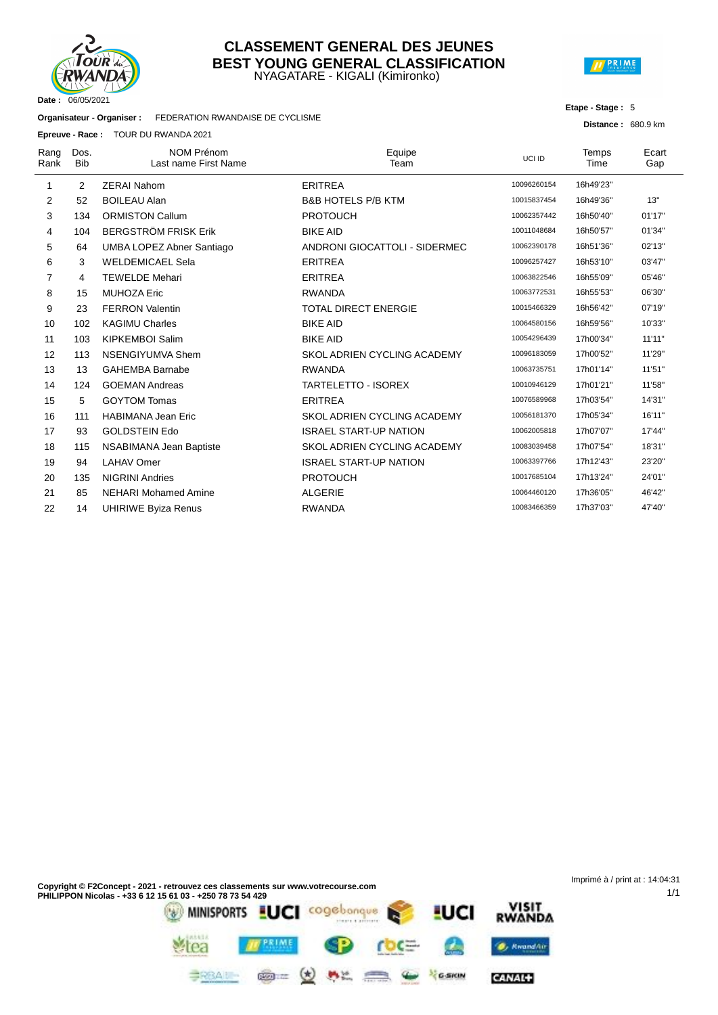

#### NYAGATARE - KIGALI (Kimironko) **CLASSEMENT GENERAL DES JEUNES BEST YOUNG GENERAL CLASSIFICATION**



#### **Etape - Stage :** 5

**Distance :** 680.9 km

1/1

**Organisateur - Organiser :** FEDERATION RWANDAISE DE CYCLISME

**Epreuve - Race :** TOUR DU RWANDA 2021

|              |                    | <b>Epicuve - Race.</b> TOOR DO RWANDA 2021 |                               |             |               |              |
|--------------|--------------------|--------------------------------------------|-------------------------------|-------------|---------------|--------------|
| Rang<br>Rank | Dos.<br><b>Bib</b> | <b>NOM Prénom</b><br>Last name First Name  | Equipe<br>Team                | UCI ID      | Temps<br>Time | Ecart<br>Gap |
| 1            | 2                  | <b>ZERAI Nahom</b>                         | <b>ERITREA</b>                | 10096260154 | 16h49'23"     |              |
| 2            | 52                 | <b>BOILEAU Alan</b>                        | <b>B&amp;B HOTELS P/B KTM</b> | 10015837454 | 16h49'36"     | 13"          |
| 3            | 134                | <b>ORMISTON Callum</b>                     | <b>PROTOUCH</b>               | 10062357442 | 16h50'40"     | 01'17"       |
| 4            | 104                | <b>BERGSTRÖM FRISK Erik</b>                | <b>BIKE AID</b>               | 10011048684 | 16h50'57"     | 01'34"       |
| 5            | 64                 | <b>UMBA LOPEZ Abner Santiago</b>           | ANDRONI GIOCATTOLI - SIDERMEC | 10062390178 | 16h51'36"     | 02'13"       |
| 6            | 3                  | <b>WELDEMICAEL Sela</b>                    | <b>ERITREA</b>                | 10096257427 | 16h53'10"     | 03'47"       |
| 7            | 4                  | <b>TEWELDE Mehari</b>                      | <b>ERITREA</b>                | 10063822546 | 16h55'09"     | 05'46"       |
| 8            | 15                 | <b>MUHOZA Eric</b>                         | <b>RWANDA</b>                 | 10063772531 | 16h55'53"     | 06'30"       |
| 9            | 23                 | <b>FERRON Valentin</b>                     | <b>TOTAL DIRECT ENERGIE</b>   | 10015466329 | 16h56'42"     | 07'19"       |
| 10           | 102                | <b>KAGIMU Charles</b>                      | <b>BIKE AID</b>               | 10064580156 | 16h59'56"     | 10'33"       |
| 11           | 103                | <b>KIPKEMBOI Salim</b>                     | <b>BIKE AID</b>               | 10054296439 | 17h00'34"     | 11'11"       |
| 12           | 113                | <b>NSENGIYUMVA Shem</b>                    | SKOL ADRIEN CYCLING ACADEMY   | 10096183059 | 17h00'52"     | 11'29"       |
| 13           | 13                 | <b>GAHEMBA Barnabe</b>                     | <b>RWANDA</b>                 | 10063735751 | 17h01'14"     | 11'51"       |
| 14           | 124                | <b>GOEMAN Andreas</b>                      | <b>TARTELETTO - ISOREX</b>    | 10010946129 | 17h01'21"     | 11'58"       |
| 15           | 5                  | <b>GOYTOM Tomas</b>                        | <b>ERITREA</b>                | 10076589968 | 17h03'54"     | 14'31"       |
| 16           | 111                | <b>HABIMANA Jean Eric</b>                  | SKOL ADRIEN CYCLING ACADEMY   | 10056181370 | 17h05'34"     | 16'11"       |
| 17           | 93                 | <b>GOLDSTEIN Edo</b>                       | <b>ISRAEL START-UP NATION</b> | 10062005818 | 17h07'07"     | 17'44"       |
| 18           | 115                | NSABIMANA Jean Baptiste                    | SKOL ADRIEN CYCLING ACADEMY   | 10083039458 | 17h07'54"     | 18'31"       |
| 19           | 94                 | <b>LAHAV Omer</b>                          | <b>ISRAEL START-UP NATION</b> | 10063397766 | 17h12'43"     | 23'20"       |
| 20           | 135                | <b>NIGRINI Andries</b>                     | <b>PROTOUCH</b>               | 10017685104 | 17h13'24"     | 24'01"       |
| 21           | 85                 | <b>NEHARI Mohamed Amine</b>                | <b>ALGERIE</b>                | 10064460120 | 17h36'05"     | 46'42"       |
| 22           | 14                 | <b>UHIRIWE Byiza Renus</b>                 | <b>RWANDA</b>                 | 10083466359 | 17h37'03"     | 47'40"       |
|              |                    |                                            |                               |             |               |              |

Imprimé à / print at : 14:04:31**Copyright © F2Concept - 2021 - retrouvez ces classements sur www.votrecourse.com PHILIPPON Nicolas - +33 6 12 15 61 03 - +250 78 73 54 429** VISIT<br>RWANDA **LUCI** cogebonque MINISPORTS <u>I</u>UCI PRIME **O**, KwandAir rea

 $M_{\rm{max}}$ 

漂

GARIN

CANAL+

 $\circledcirc$  =  $\circledast$ 

**BRBAIN-**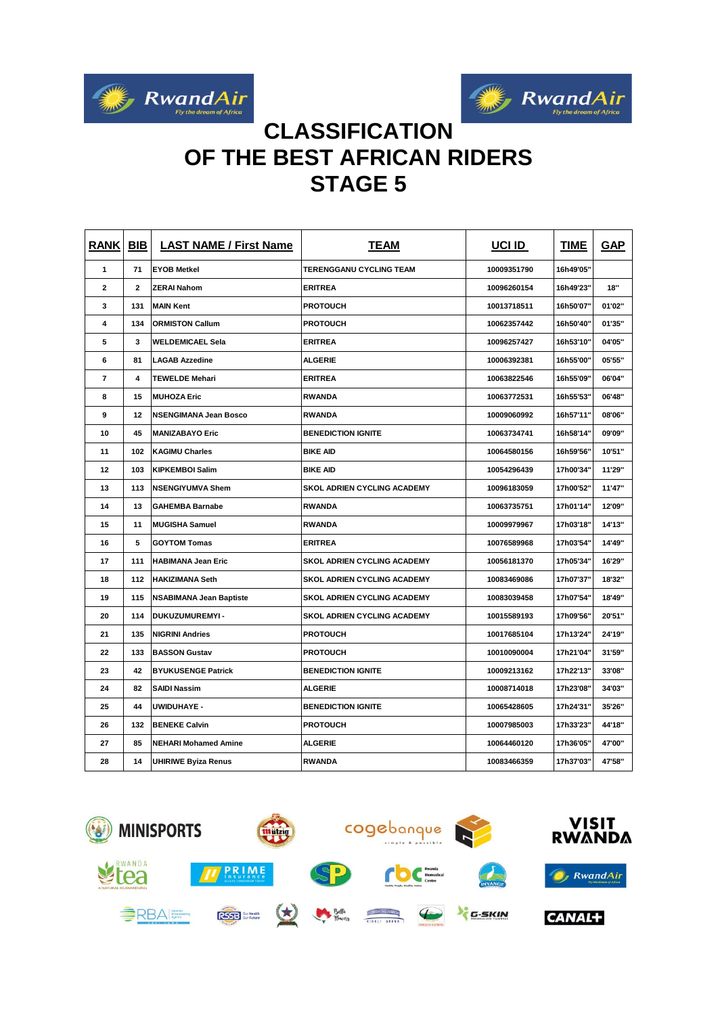



## **CLASSIFICATION OF THE BEST AFRICAN RIDERS STAGE 5**

| <b>RANK</b>    | <b>BIB</b> | <b>LAST NAME / First Name</b>  | <b>TEAM</b>                        | UCI ID      | <b>TIME</b> | <b>GAP</b> |
|----------------|------------|--------------------------------|------------------------------------|-------------|-------------|------------|
| 1              | 71         | <b>EYOB Metkel</b>             | TERENGGANU CYCLING TEAM            | 10009351790 | 16h49'05"   |            |
| 2              | 2          | <b>ZERAI Nahom</b>             | <b>ERITREA</b>                     | 10096260154 | 16h49'23"   | 18"        |
| 3              | 131        | <b>MAIN Kent</b>               | <b>PROTOUCH</b>                    | 10013718511 | 16h50'07"   | 01'02"     |
| 4              | 134        | <b>ORMISTON Callum</b>         | <b>PROTOUCH</b>                    | 10062357442 | 16h50'40"   | 01'35"     |
| 5              | 3          | <b>WELDEMICAEL Sela</b>        | <b>ERITREA</b>                     | 10096257427 | 16h53'10"   | 04'05"     |
| 6              | 81         | <b>LAGAB Azzedine</b>          | ALGERIE                            | 10006392381 | 16h55'00"   | 05'55"     |
| $\overline{7}$ | 4          | <b>TEWELDE Mehari</b>          | <b>ERITREA</b>                     | 10063822546 | 16h55'09"   | 06'04"     |
| 8              | 15         | <b>MUHOZA Eric</b>             | <b>RWANDA</b>                      | 10063772531 | 16h55'53"   | 06'48"     |
| 9              | 12         | <b>NSENGIMANA Jean Bosco</b>   | <b>RWANDA</b>                      | 10009060992 | 16h57'11"   | 08'06"     |
| 10             | 45         | <b>MANIZABAYO Eric</b>         | <b>BENEDICTION IGNITE</b>          | 10063734741 | 16h58'14"   | 09'09"     |
| 11             | 102        | <b>KAGIMU Charles</b>          | <b>BIKE AID</b>                    | 10064580156 | 16h59'56"   | 10'51"     |
| 12             | 103        | <b>KIPKEMBOI Salim</b>         | <b>BIKE AID</b>                    | 10054296439 | 17h00'34"   | 11'29"     |
| 13             | 113        | <b>NSENGIYUMVA Shem</b>        | <b>SKOL ADRIEN CYCLING ACADEMY</b> | 10096183059 | 17h00'52"   | 11'47"     |
| 14             | 13         | <b>GAHEMBA Barnabe</b>         | <b>RWANDA</b>                      | 10063735751 | 17h01'14"   | 12'09"     |
| 15             | 11         | <b>MUGISHA Samuel</b>          | <b>RWANDA</b>                      | 10009979967 | 17h03'18"   | 14'13"     |
| 16             | 5          | <b>GOYTOM Tomas</b>            | <b>ERITREA</b>                     | 10076589968 | 17h03'54"   | 14'49"     |
| 17             | 111        | <b>HABIMANA Jean Eric</b>      | <b>SKOL ADRIEN CYCLING ACADEMY</b> | 10056181370 | 17h05'34"   | 16'29"     |
| 18             | 112        | <b>HAKIZIMANA Seth</b>         | <b>SKOL ADRIEN CYCLING ACADEMY</b> | 10083469086 | 17h07'37"   | 18'32"     |
| 19             | 115        | <b>NSABIMANA Jean Baptiste</b> | <b>SKOL ADRIEN CYCLING ACADEMY</b> | 10083039458 | 17h07'54"   | 18'49"     |
| 20             | 114        | DUKUZUMUREMYI-                 | <b>SKOL ADRIEN CYCLING ACADEMY</b> | 10015589193 | 17h09'56"   | 20'51"     |
| 21             | 135        | <b>NIGRINI Andries</b>         | <b>PROTOUCH</b>                    | 10017685104 | 17h13'24"   | 24'19"     |
| 22             | 133        | <b>BASSON Gustav</b>           | <b>PROTOUCH</b>                    | 10010090004 | 17h21'04"   | 31'59"     |
| 23             | 42         | <b>BYUKUSENGE Patrick</b>      | <b>BENEDICTION IGNITE</b>          | 10009213162 | 17h22'13"   | 33'08"     |
| 24             | 82         | <b>SAIDI Nassim</b>            | <b>ALGERIE</b>                     | 10008714018 | 17h23'08"   | 34'03"     |
| 25             | 44         | <b>UWIDUHAYE -</b>             | <b>BENEDICTION IGNITE</b>          | 10065428605 | 17h24'31"   | 35'26"     |
| 26             | 132        | <b>BENEKE Calvin</b>           | <b>PROTOUCH</b>                    | 10007985003 | 17h33'23"   | 44'18"     |
| 27             | 85         | <b>NEHARI Mohamed Amine</b>    | <b>ALGERIE</b>                     | 10064460120 | 17h36'05'   | 47'00"     |
| 28             | 14         | <b>UHIRIWE Byiza Renus</b>     | <b>RWANDA</b>                      | 10083466359 | 17h37'03"   | 47'58"     |

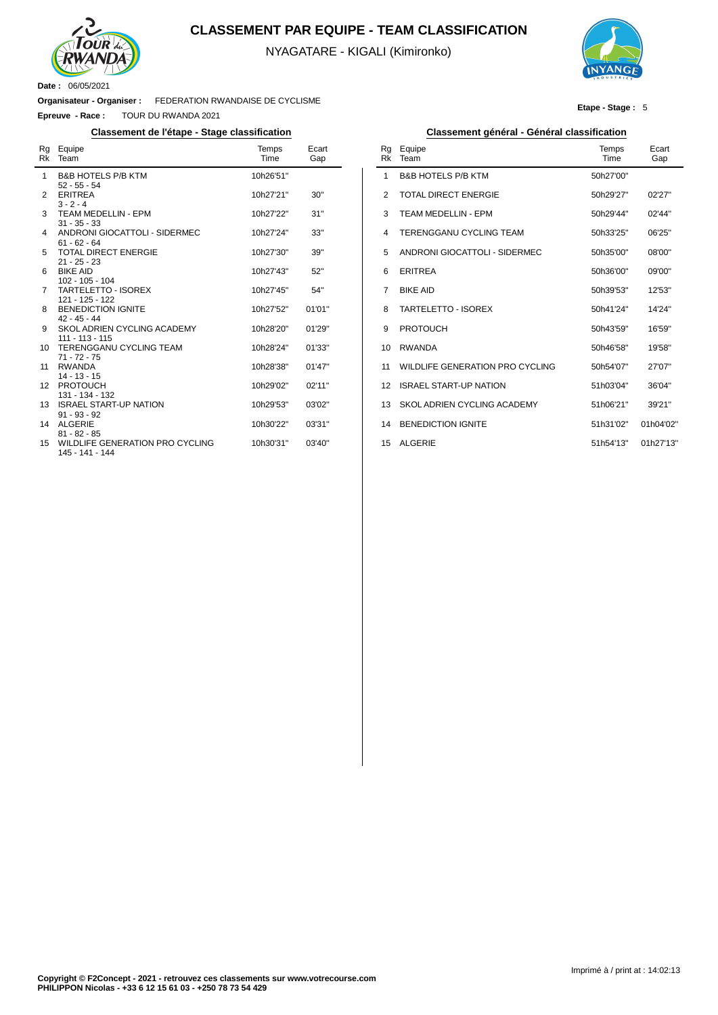

#### **CLASSEMENT PAR EQUIPE - TEAM CLASSIFICATION**

NYAGATARE - KIGALI (Kimironko)



**Etape - Stage :** 5

**Date :** 06/05/2021

**Organisateur - Organiser :** FEDERATION RWANDAISE DE CYCLISME

**Epreuve - Race :** TOUR DU RWANDA 2021

| Rq<br>Rk | Equipe<br>Team                                     | Temps<br>Time | Ecart<br>Gap |
|----------|----------------------------------------------------|---------------|--------------|
| 1        | <b>B&amp;B HOTELS P/B KTM</b><br>$52 - 55 - 54$    | 10h26'51"     |              |
| 2        | <b>ERITREA</b><br>$3 - 2 - 4$                      | 10h27'21"     | 30"          |
| 3        | <b>TEAM MEDELLIN - EPM</b><br>$31 - 35 - 33$       | 10h27'22"     | 31"          |
| 4        | ANDRONI GIOCATTOLI - SIDERMEC<br>$61 - 62 - 64$    | 10h27'24"     | 33"          |
| 5        | <b>TOTAL DIRECT ENERGIE</b><br>$21 - 25 - 23$      | 10h27'30"     | 39"          |
| 6        | <b>BIKE AID</b><br>$102 - 105 - 104$               | 10h27'43"     | 52"          |
| 7        | <b>TARTELETTO - ISOREX</b><br>121 - 125 - 122      | 10h27'45"     | 54"          |
| 8        | <b>BENEDICTION IGNITE</b><br>$42 - 45 - 44$        | 10h27'52"     | 01'01"       |
| 9        | SKOL ADRIEN CYCLING ACADEMY<br>$111 - 113 - 115$   | 10h28'20"     | 01'29"       |
| 10       | <b>TERENGGANU CYCLING TEAM</b><br>$71 - 72 - 75$   | 10h28'24"     | 01'33"       |
| 11       | <b>RWANDA</b><br>$14 - 13 - 15$                    | 10h28'38"     | 01'47''      |
| 12       | <b>PROTOUCH</b><br>131 - 134 - 132                 | 10h29'02"     | 02'11"       |
| 13       | <b>ISRAEL START-UP NATION</b><br>$91 - 93 - 92$    | 10h29'53"     | 03'02"       |
| 14       | <b>ALGERIE</b><br>$81 - 82 - 85$                   | 10h30'22"     | 03'31"       |
| 15       | WILDLIFE GENERATION PRO CYCLING<br>145 - 141 - 144 | 10h30'31"     | 03'40"       |

#### **Classement de l'étape - Stage classification Classement général - Général classification**

| Rq<br>Rk       | Equipe<br>Team                  | Temps<br>Time | Ecart<br>Gap |
|----------------|---------------------------------|---------------|--------------|
| 1              | <b>B&amp;B HOTELS P/B KTM</b>   | 50h27'00"     |              |
| 2              | TOTAL DIRECT ENERGIE            | 50h29'27"     | 02'27"       |
| 3              | <b>TEAM MEDELLIN - EPM</b>      | 50h29'44"     | 02'44"       |
| $\overline{4}$ | <b>TERENGGANU CYCLING TEAM</b>  | 50h33'25"     | 06'25"       |
| 5              | ANDRONI GIOCATTOLI - SIDERMEC   | 50h35'00"     | 08'00"       |
| 6              | <b>ERITREA</b>                  | 50h36'00"     | 09'00"       |
| 7              | <b>BIKE AID</b>                 | 50h39'53"     | 12'53"       |
| 8              | TARTEL FTTO - ISOREX            | 50h41'24"     | 14'24"       |
| 9              | <b>PROTOUCH</b>                 | 50h43'59"     | 16'59"       |
| 10             | <b>RWANDA</b>                   | 50h46'58"     | 19'58"       |
| 11             | WILDLIFE GENERATION PRO CYCLING | 50h54'07"     | 27'07"       |
| 12             | ISRAFI START-UP NATION          | 51h03'04"     | 36'04"       |
| 13             | SKOL ADRIEN CYCLING ACADEMY     | 51h06'21"     | 39'21"       |
| 14             | <b>BENEDICTION IGNITE</b>       | 51h31'02"     | 01h04'02"    |
| 15             | <b>ALGERIE</b>                  | 51h54'13"     | 01h27'13"    |
|                |                                 |               |              |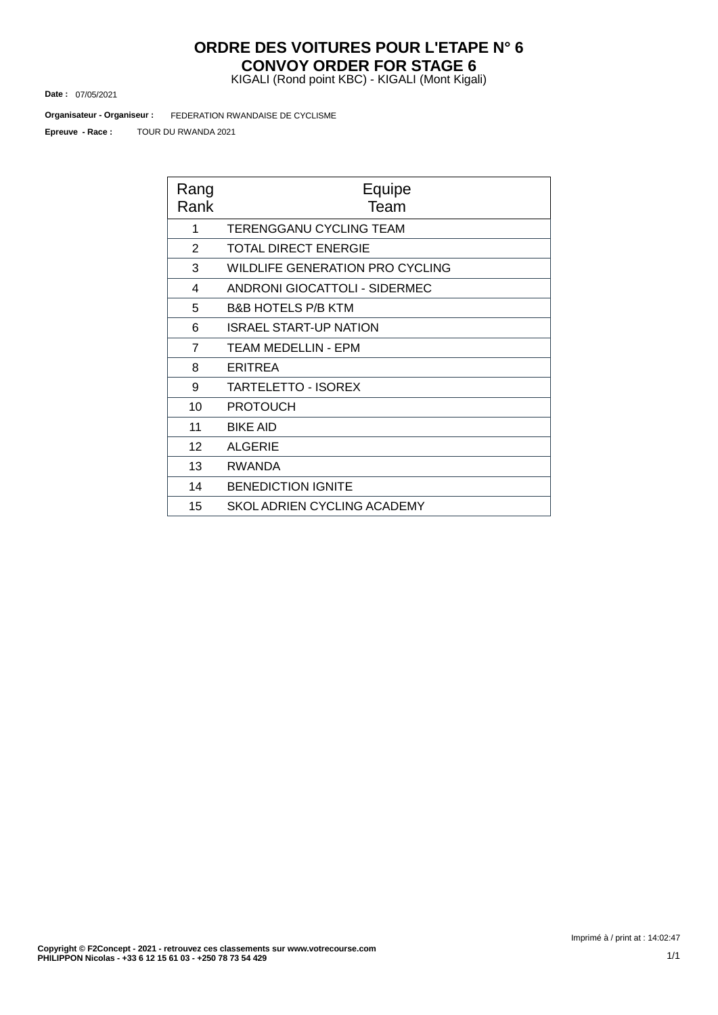## **ORDRE DES VOITURES POUR L'ETAPE N° 6 CONVOY ORDER FOR STAGE 6**

KIGALI (Rond point KBC) - KIGALI (Mont Kigali)

07/05/2021 **Date :**

FEDERATION RWANDAISE DE CYCLISME **Organisateur - Organiseur :**

TOUR DU RWANDA 2021 **Epreuve - Race :**

| Rang<br>Rank   | Equipe<br>Team                       |
|----------------|--------------------------------------|
| 1              | <b>TERENGGANU CYCLING TEAM</b>       |
| 2              | <b>TOTAL DIRECT ENERGIE</b>          |
| 3              | WILDLIFE GENERATION PRO CYCLING      |
| 4              | <b>ANDRONI GIOCATTOLI - SIDERMEC</b> |
| 5              | <b>B&amp;B HOTELS P/B KTM</b>        |
| 6              | <b>ISRAEL START-UP NATION</b>        |
| $\overline{7}$ | <b>TEAM MEDELLIN - EPM</b>           |
| 8              | <b>ERITREA</b>                       |
| 9              | <b>TARTELETTO - ISOREX</b>           |
| 10             | <b>PROTOUCH</b>                      |
| 11             | <b>BIKE AID</b>                      |
| 12             | <b>ALGERIE</b>                       |
| 13             | <b>RWANDA</b>                        |
| 14             | <b>BENEDICTION IGNITE</b>            |
| 15             | SKOL ADRIEN CYCLING ACADEMY          |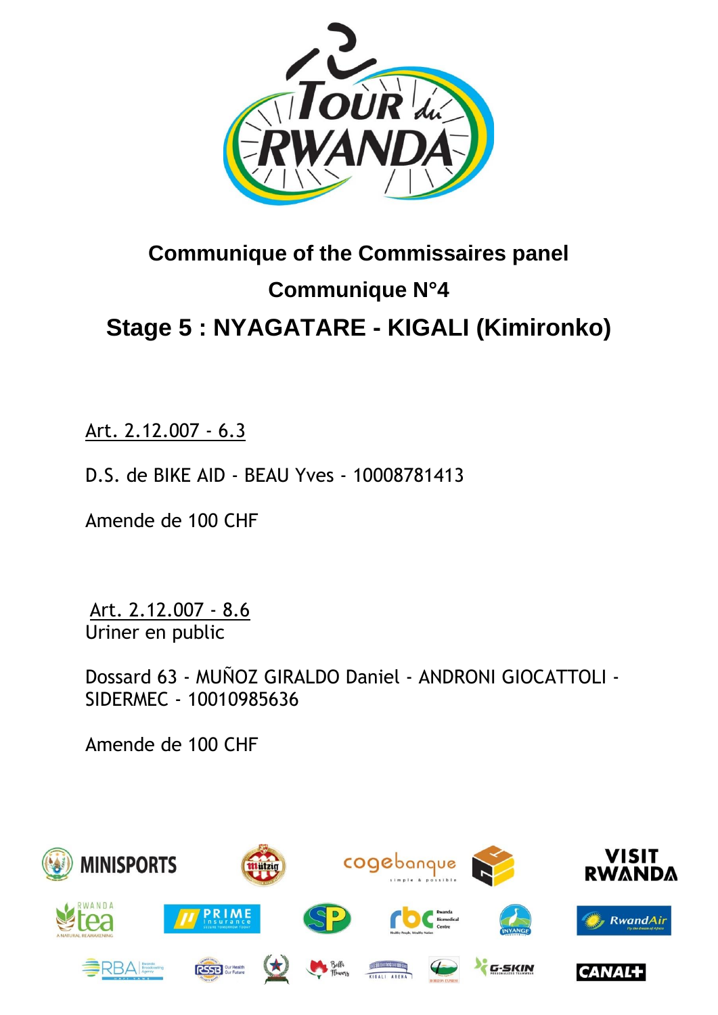

# **Communique of the Commissaires panel Communique N°4 Stage 5 : [NYAGATARE](https://www.procyclingstats.com/race/tour-of-turkey/2021/stage-1) - KIGALI (Kimironko)**

Art. 2.12.007 - 6.3

D.S. de BIKE AID - BEAU Yves - 10008781413

Amende de 100 CHF

Art. 2.12.007 - 8.6 Uriner en public

Dossard 63 - MUÑOZ GIRALDO Daniel - ANDRONI GIOCATTOLI - SIDERMEC - 10010985636

Amende de 100 CHF